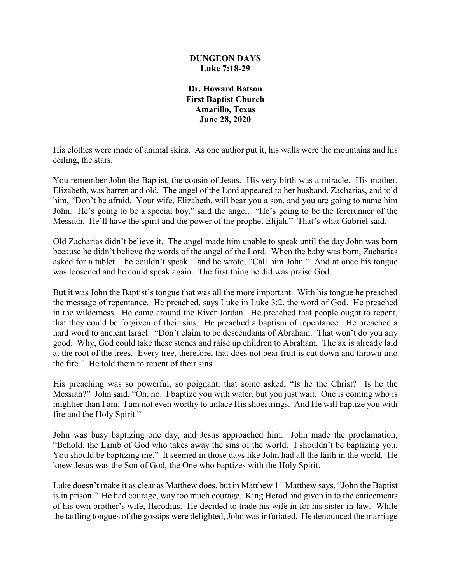### **DUNGEON DAYS Luke 7:18-29**

**Dr. Howard Batson First Baptist Church Amarillo, Texas June 28, 2020**

His clothes were made of animal skins. As one author put it, his walls were the mountains and his ceiling, the stars.

You remember John the Baptist, the cousin of Jesus. His very birth was a miracle. His mother, Elizabeth, was barren and old. The angel of the Lord appeared to her husband, Zacharias, and told him, "Don't be afraid. Your wife, Elizabeth, will bear you a son, and you are going to name him John. He's going to be a special boy," said the angel. "He's going to be the forerunner of the Messiah. He'll have the spirit and the power of the prophet Elijah." That's what Gabriel said.

Old Zacharias didn't believe it. The angel made him unable to speak until the day John was born because he didn't believe the words of the angel of the Lord. When the baby was born, Zacharias asked for a tablet – he couldn't speak – and he wrote, "Call him John." And at once his tongue was loosened and he could speak again. The first thing he did was praise God.

But it was John the Baptist's tongue that was all the more important. With his tongue he preached the message of repentance. He preached, says Luke in Luke 3:2, the word of God. He preached in the wilderness. He came around the River Jordan. He preached that people ought to repent, that they could be forgiven of their sins. He preached a baptism of repentance. He preached a hard word to ancient Israel. "Don't claim to be descendants of Abraham. That won't do you any good. Why, God could take these stones and raise up children to Abraham. The ax is already laid at the root of the trees. Every tree, therefore, that does not bear fruit is cut down and thrown into the fire." He told them to repent of their sins.

His preaching was so powerful, so poignant, that some asked, "Is he the Christ? Is he the Messiah?" John said, "Oh, no. I baptize you with water, but you just wait. One is coming who is mightier than I am. I am not even worthy to unlace His shoestrings. And He will baptize you with fire and the Holy Spirit."

John was busy baptizing one day, and Jesus approached him. John made the proclamation, "Behold, the Lamb of God who takes away the sins of the world. I shouldn't be baptizing you. You should be baptizing me." It seemed in those days like John had all the faith in the world. He knew Jesus was the Son of God, the One who baptizes with the Holy Spirit.

Luke doesn't make it as clear as Matthew does, but in Matthew 11 Matthew says, "John the Baptist is in prison." He had courage, way too much courage. King Herod had given in to the enticements of his own brother's wife, Herodius. He decided to trade his wife in for his sister-in-law. While the tattling tongues of the gossips were delighted, John was infuriated. He denounced the marriage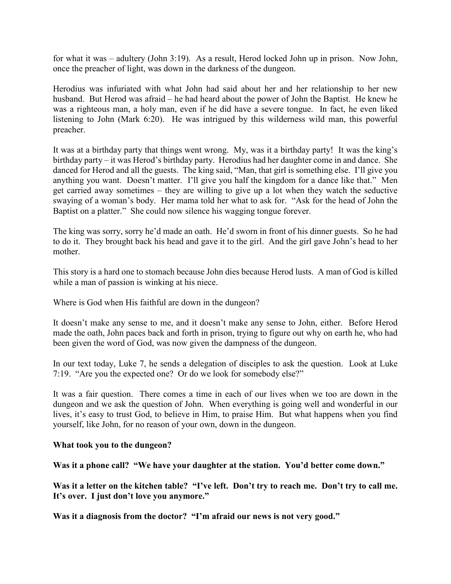for what it was – adultery (John 3:19). As a result, Herod locked John up in prison. Now John, once the preacher of light, was down in the darkness of the dungeon.

Herodius was infuriated with what John had said about her and her relationship to her new husband. But Herod was afraid – he had heard about the power of John the Baptist. He knew he was a righteous man, a holy man, even if he did have a severe tongue. In fact, he even liked listening to John (Mark 6:20). He was intrigued by this wilderness wild man, this powerful preacher.

It was at a birthday party that things went wrong. My, was it a birthday party! It was the king's birthday party – it was Herod's birthday party. Herodius had her daughter come in and dance. She danced for Herod and all the guests. The king said, "Man, that girl is something else. I'll give you anything you want. Doesn't matter. I'll give you half the kingdom for a dance like that." Men get carried away sometimes – they are willing to give up a lot when they watch the seductive swaying of a woman's body. Her mama told her what to ask for. "Ask for the head of John the Baptist on a platter." She could now silence his wagging tongue forever.

The king was sorry, sorry he'd made an oath. He'd sworn in front of his dinner guests. So he had to do it. They brought back his head and gave it to the girl. And the girl gave John's head to her mother.

This story is a hard one to stomach because John dies because Herod lusts. A man of God is killed while a man of passion is winking at his niece.

Where is God when His faithful are down in the dungeon?

It doesn't make any sense to me, and it doesn't make any sense to John, either. Before Herod made the oath, John paces back and forth in prison, trying to figure out why on earth he, who had been given the word of God, was now given the dampness of the dungeon.

In our text today, Luke 7, he sends a delegation of disciples to ask the question. Look at Luke 7:19. "Are you the expected one? Or do we look for somebody else?"

It was a fair question. There comes a time in each of our lives when we too are down in the dungeon and we ask the question of John. When everything is going well and wonderful in our lives, it's easy to trust God, to believe in Him, to praise Him. But what happens when you find yourself, like John, for no reason of your own, down in the dungeon.

#### **What took you to the dungeon?**

**Was it a phone call? "We have your daughter at the station. You'd better come down."**

**Was it a letter on the kitchen table? "I've left. Don't try to reach me. Don't try to call me. It's over. I just don't love you anymore."**

**Was it a diagnosis from the doctor? "I'm afraid our news is not very good."**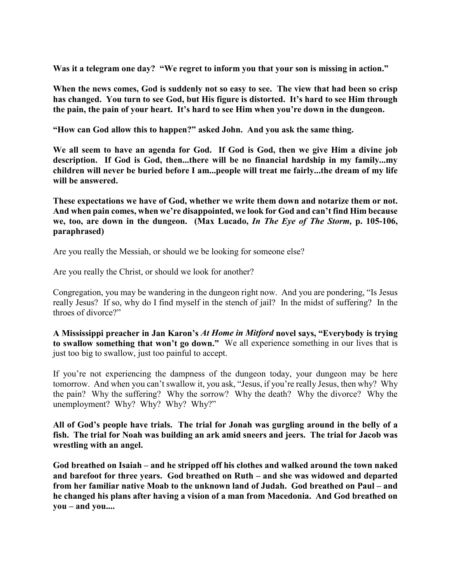**Was it a telegram one day? "We regret to inform you that your son is missing in action."**

**When the news comes, God is suddenly not so easy to see. The view that had been so crisp has changed. You turn to see God, but His figure is distorted. It's hard to see Him through the pain, the pain of your heart. It's hard to see Him when you're down in the dungeon.**

**"How can God allow this to happen?" asked John. And you ask the same thing.**

**We all seem to have an agenda for God. If God is God, then we give Him a divine job description. If God is God, then...there will be no financial hardship in my family...my children will never be buried before I am...people will treat me fairly...the dream of my life will be answered.**

**These expectations we have of God, whether we write them down and notarize them or not. And when pain comes, when we're disappointed, we look for God and can't find Him because we, too, are down in the dungeon. (Max Lucado,** *In The Eye of The Storm,* **p. 105-106, paraphrased)**

Are you really the Messiah, or should we be looking for someone else?

Are you really the Christ, or should we look for another?

Congregation, you may be wandering in the dungeon right now. And you are pondering, "Is Jesus really Jesus? If so, why do I find myself in the stench of jail? In the midst of suffering? In the throes of divorce?"

**A Mississippi preacher in Jan Karon's** *At Home in Mitford* **novel says, "Everybody is trying to swallow something that won't go down."** We all experience something in our lives that is just too big to swallow, just too painful to accept.

If you're not experiencing the dampness of the dungeon today, your dungeon may be here tomorrow. And when you can't swallow it, you ask, "Jesus, if you're really Jesus, then why? Why the pain? Why the suffering? Why the sorrow? Why the death? Why the divorce? Why the unemployment? Why? Why? Why? Why?"

**All of God's people have trials. The trial for Jonah was gurgling around in the belly of a fish. The trial for Noah was building an ark amid sneers and jeers. The trial for Jacob was wrestling with an angel.** 

**God breathed on Isaiah – and he stripped off his clothes and walked around the town naked and barefoot for three years. God breathed on Ruth – and she was widowed and departed from her familiar native Moab to the unknown land of Judah. God breathed on Paul – and he changed his plans after having a vision of a man from Macedonia. And God breathed on you – and you....**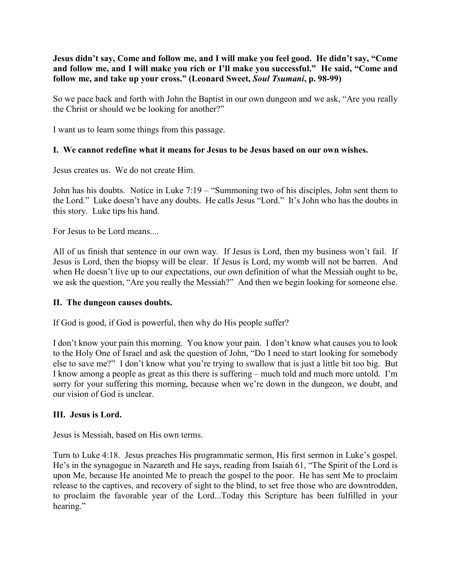**Jesus didn't say, Come and follow me, and I will make you feel good. He didn't say, "Come and follow me, and I will make you rich or I'll make you successful." He said, "Come and follow me, and take up your cross." (Leonard Sweet,** *Soul Tsumani***, p. 98-99)**

So we pace back and forth with John the Baptist in our own dungeon and we ask, "Are you really the Christ or should we be looking for another?"

I want us to learn some things from this passage.

## **I. We cannot redefine what it means for Jesus to be Jesus based on our own wishes.**

Jesus creates us. We do not create Him.

John has his doubts. Notice in Luke 7:19 – "Summoning two of his disciples, John sent them to the Lord." Luke doesn't have any doubts. He calls Jesus "Lord." It's John who has the doubts in this story. Luke tips his hand.

For Jesus to be Lord means....

All of us finish that sentence in our own way. If Jesus is Lord, then my business won't fail. If Jesus is Lord, then the biopsy will be clear. If Jesus is Lord, my womb will not be barren. And when He doesn't live up to our expectations, our own definition of what the Messiah ought to be, we ask the question, "Are you really the Messiah?" And then we begin looking for someone else.

### **II. The dungeon causes doubts.**

If God is good, if God is powerful, then why do His people suffer?

I don't know your pain this morning. You know your pain. I don't know what causes you to look to the Holy One of Israel and ask the question of John, "Do I need to start looking for somebody else to save me?" I don't know what you're trying to swallow that is just a little bit too big. But I know among a people as great as this there is suffering – much told and much more untold. I'm sorry for your suffering this morning, because when we're down in the dungeon, we doubt, and our vision of God is unclear.

### **III. Jesus is Lord.**

Jesus is Messiah, based on His own terms.

Turn to Luke 4:18. Jesus preaches His programmatic sermon, His first sermon in Luke's gospel. He's in the synagogue in Nazareth and He says, reading from Isaiah 61, "The Spirit of the Lord is upon Me, because He anointed Me to preach the gospel to the poor. He has sent Me to proclaim release to the captives, and recovery of sight to the blind, to set free those who are downtrodden, to proclaim the favorable year of the Lord...Today this Scripture has been fulfilled in your hearing."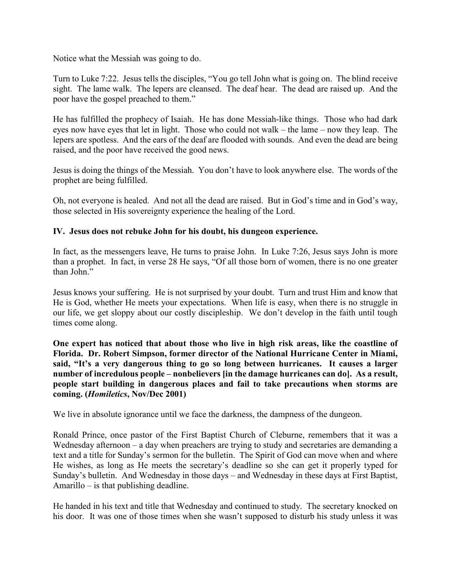Notice what the Messiah was going to do.

Turn to Luke 7:22. Jesus tells the disciples, "You go tell John what is going on. The blind receive sight. The lame walk. The lepers are cleansed. The deaf hear. The dead are raised up. And the poor have the gospel preached to them."

He has fulfilled the prophecy of Isaiah. He has done Messiah-like things. Those who had dark eyes now have eyes that let in light. Those who could not walk – the lame – now they leap. The lepers are spotless. And the ears of the deaf are flooded with sounds. And even the dead are being raised, and the poor have received the good news.

Jesus is doing the things of the Messiah. You don't have to look anywhere else. The words of the prophet are being fulfilled.

Oh, not everyone is healed. And not all the dead are raised. But in God's time and in God's way, those selected in His sovereignty experience the healing of the Lord.

# **IV. Jesus does not rebuke John for his doubt, his dungeon experience.**

In fact, as the messengers leave, He turns to praise John. In Luke 7:26, Jesus says John is more than a prophet. In fact, in verse 28 He says, "Of all those born of women, there is no one greater than John."

Jesus knows your suffering. He is not surprised by your doubt. Turn and trust Him and know that He is God, whether He meets your expectations. When life is easy, when there is no struggle in our life, we get sloppy about our costly discipleship. We don't develop in the faith until tough times come along.

**One expert has noticed that about those who live in high risk areas, like the coastline of Florida. Dr. Robert Simpson, former director of the National Hurricane Center in Miami, said, "It's a very dangerous thing to go so long between hurricanes. It causes a larger number of incredulous people – nonbelievers [in the damage hurricanes can do]. As a result, people start building in dangerous places and fail to take precautions when storms are coming. (***Homiletics***, Nov/Dec 2001)**

We live in absolute ignorance until we face the darkness, the dampness of the dungeon.

Ronald Prince, once pastor of the First Baptist Church of Cleburne, remembers that it was a Wednesday afternoon – a day when preachers are trying to study and secretaries are demanding a text and a title for Sunday's sermon for the bulletin. The Spirit of God can move when and where He wishes, as long as He meets the secretary's deadline so she can get it properly typed for Sunday's bulletin. And Wednesday in those days – and Wednesday in these days at First Baptist, Amarillo – is that publishing deadline.

He handed in his text and title that Wednesday and continued to study. The secretary knocked on his door. It was one of those times when she wasn't supposed to disturb his study unless it was